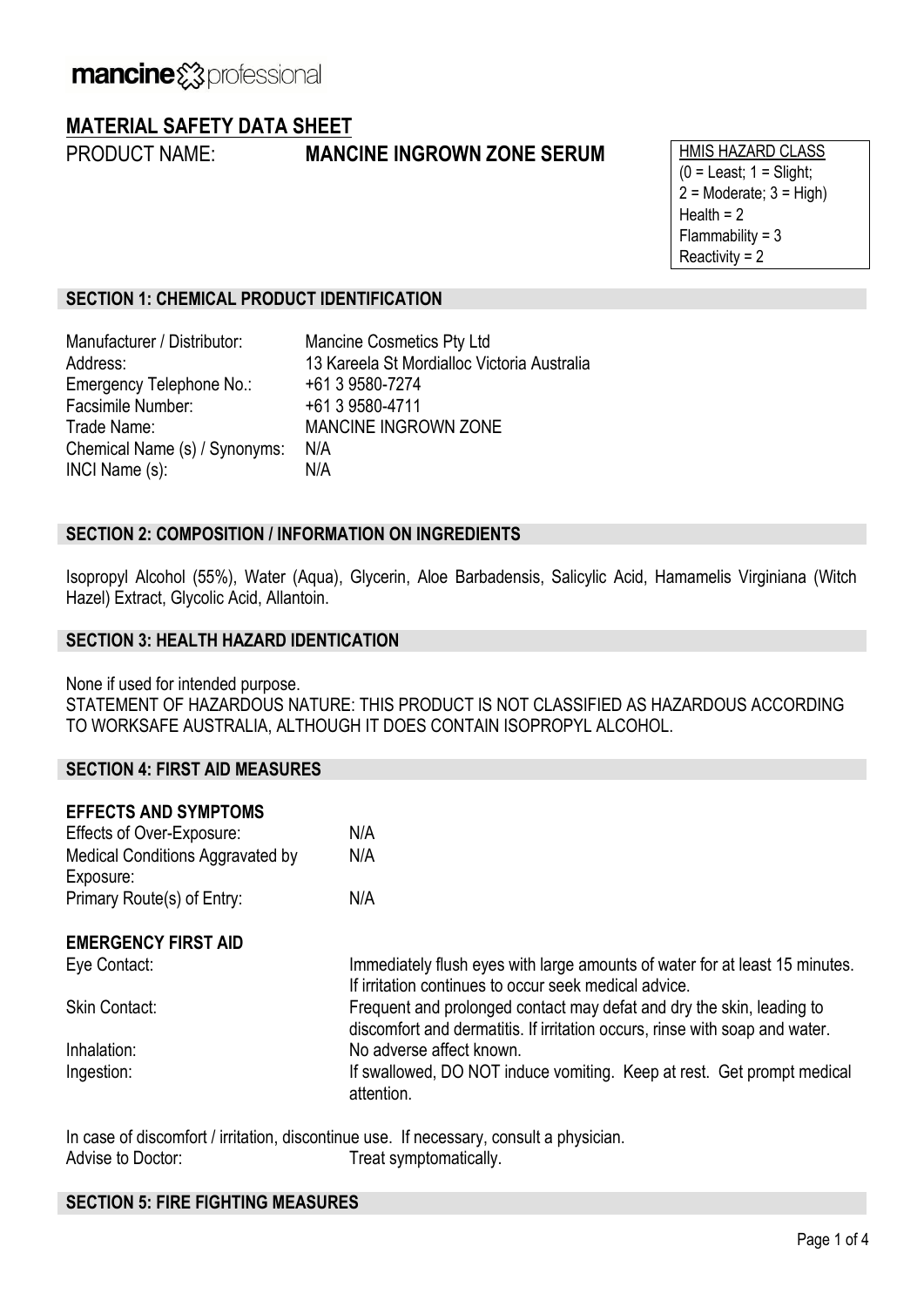## **MATERIAL SAFETY DATA SHEET**

## **PRODUCT NAME: MANCINE INGROWN ZONE SERUM** HMIS HAZARD CLASS

 $(0 =$  Least;  $1 =$  Slight;  $2 =$ Moderate;  $3 =$ High) Health  $= 2$  $Flammability = 3$ Reactivity = 2

### **SECTION 1: CHEMICAL PRODUCT IDENTIFICATION**

Manufacturer / Distributor: Mancine Cosmetics Pty Ltd Address: 13 Kareela St Mordialloc Victoria Australia Emergency Telephone No.: +61 3 9580-7274 Facsimile Number: +61 3 9580-4711 Trade Name: MANCINE INGROWN ZONE Chemical Name (s) / Synonyms: N/A INCI Name (s): N/A

### **SECTION 2: COMPOSITION / INFORMATION ON INGREDIENTS**

Isopropyl Alcohol (55%), Water (Aqua), Glycerin, Aloe Barbadensis, Salicylic Acid, Hamamelis Virginiana (Witch Hazel) Extract, Glycolic Acid, Allantoin.

### **SECTION 3: HEALTH HAZARD IDENTICATION**

None if used for intended purpose.

STATEMENT OF HAZARDOUS NATURE: THIS PRODUCT IS NOT CLASSIFIED AS HAZARDOUS ACCORDING TO WORKSAFE AUSTRALIA, ALTHOUGH IT DOES CONTAIN ISOPROPYL ALCOHOL.

### **SECTION 4: FIRST AID MEASURES**

| N/A                                                                                                                                                  |
|------------------------------------------------------------------------------------------------------------------------------------------------------|
| N/A                                                                                                                                                  |
|                                                                                                                                                      |
| N/A                                                                                                                                                  |
|                                                                                                                                                      |
| Immediately flush eyes with large amounts of water for at least 15 minutes.<br>If irritation continues to occur seek medical advice.                 |
| Frequent and prolonged contact may defat and dry the skin, leading to<br>discomfort and dermatitis. If irritation occurs, rinse with soap and water. |
| No adverse affect known.                                                                                                                             |
| If swallowed, DO NOT induce vomiting. Keep at rest. Get prompt medical<br>attention.                                                                 |
|                                                                                                                                                      |

In case of discomfort / irritation, discontinue use. If necessary, consult a physician. Advise to Doctor: Treat symptomatically.

### **SECTION 5: FIRE FIGHTING MEASURES**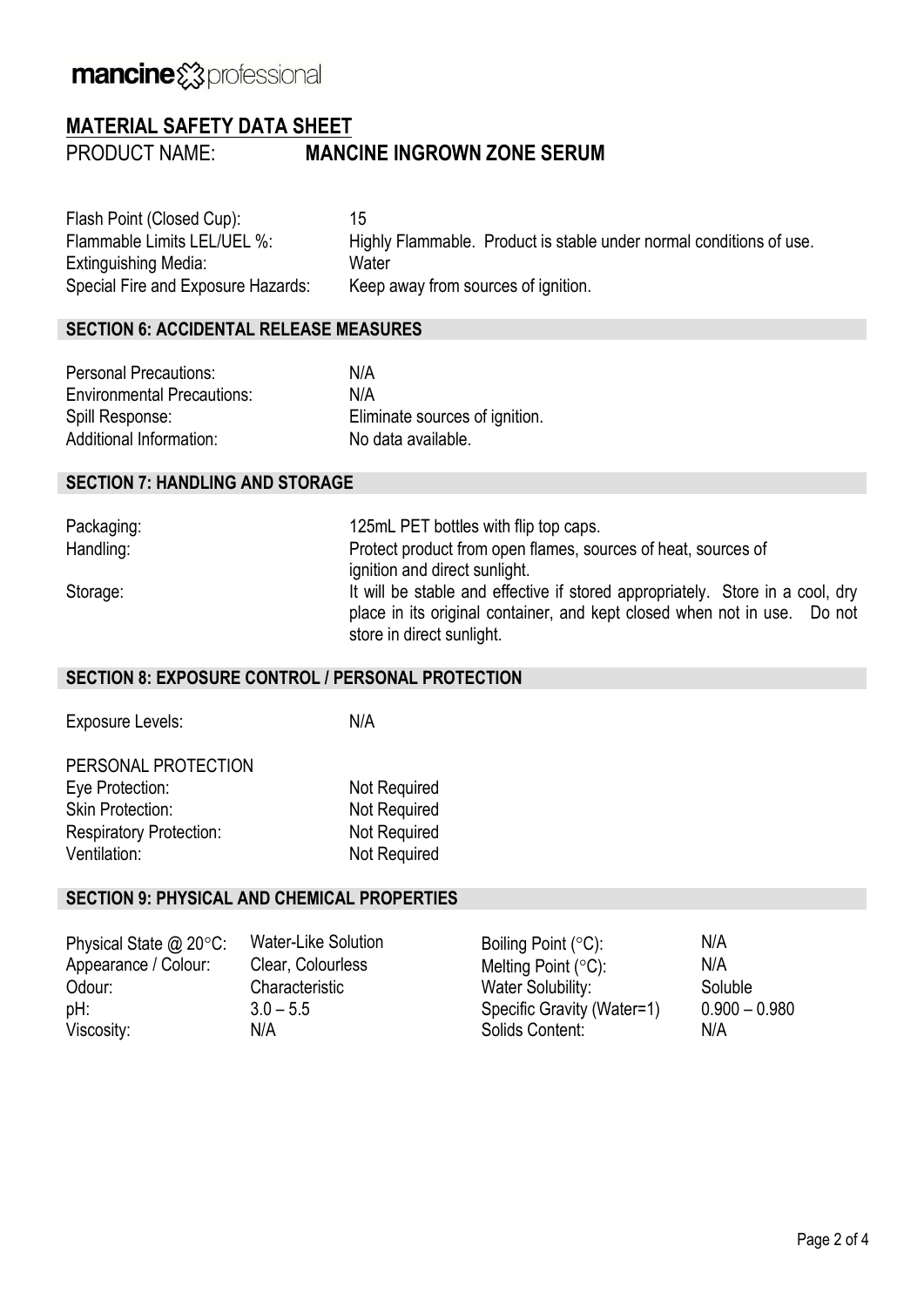# mancine & professional

### **MATERIAL SAFETY DATA SHEET**

PRODUCT NAME: **MANCINE INGROWN ZONE SERUM**

Flash Point (Closed Cup): 15 Extinguishing Media: Water Special Fire and Exposure Hazards: Keep away from sources of ignition.

Flammable Limits LEL/UEL %: Highly Flammable. Product is stable under normal conditions of use.

### **SECTION 6: ACCIDENTAL RELEASE MEASURES**

| Personal Precautions:             | N/A                            |
|-----------------------------------|--------------------------------|
| <b>Environmental Precautions:</b> | N/A                            |
| Spill Response:                   | Eliminate sources of ignition. |
| Additional Information:           | No data available.             |

### **SECTION 7: HANDLING AND STORAGE**

Packaging: 25mL PET bottles with flip top caps. Handling: Protect product from open flames, sources of heat, sources of ignition and direct sunlight. Storage: It will be stable and effective if stored appropriately. Store in a cool, dry place in its original container, and kept closed when not in use. Do not store in direct sunlight.

### **SECTION 8: EXPOSURE CONTROL / PERSONAL PROTECTION**

Exposure Levels: N/A

PERSONAL PROTECTION Eye Protection: Not Required Skin Protection: Not Required Respiratory Protection: Not Required Ventilation: Ventilation: Not Required

#### **SECTION 9: PHYSICAL AND CHEMICAL PROPERTIES**

| Physical State $@$ 20 $°C$ : | Water-Like Solution | Boiling Point $(°C)$ :     | N/A             |
|------------------------------|---------------------|----------------------------|-----------------|
| Appearance / Colour:         | Clear, Colourless   | Melting Point $(°C)$ :     | N/A             |
| Odour:                       | Characteristic      | Water Solubility:          | Soluble         |
| pH:                          | $3.0 - 5.5$         | Specific Gravity (Water=1) | $0.900 - 0.980$ |
| Viscosity:                   | N/A                 | Solids Content:            | N/A             |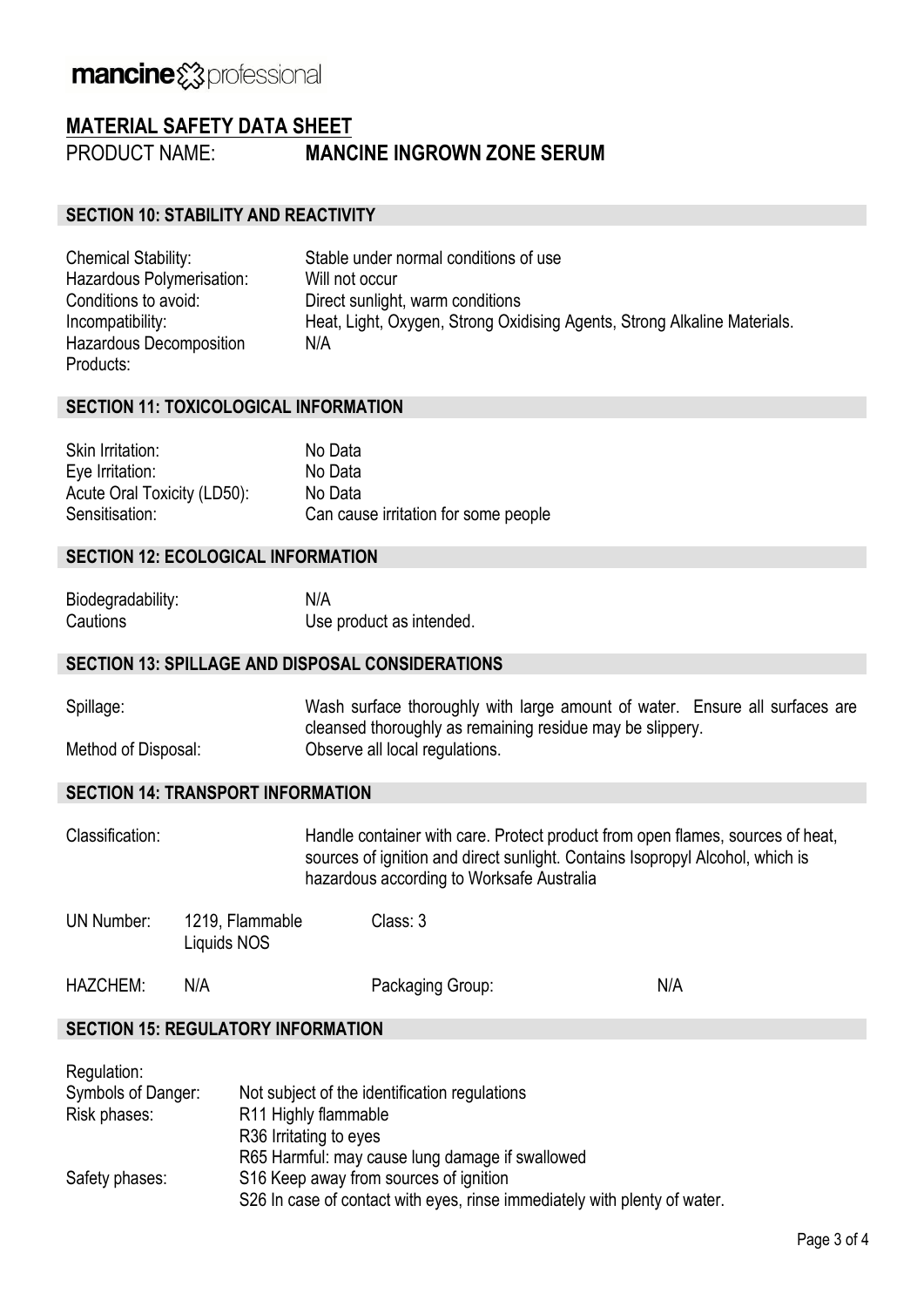# mancine & professional

### **MATERIAL SAFETY DATA SHEET**

PRODUCT NAME: **MANCINE INGROWN ZONE SERUM**

### **SECTION 10: STABILITY AND REACTIVITY**

| <b>Chemical Stability:</b>     | Stable under normal conditions of use                                    |
|--------------------------------|--------------------------------------------------------------------------|
| Hazardous Polymerisation:      | Will not occur                                                           |
| Conditions to avoid:           | Direct sunlight, warm conditions                                         |
| Incompatibility:               | Heat, Light, Oxygen, Strong Oxidising Agents, Strong Alkaline Materials. |
| <b>Hazardous Decomposition</b> | N/A                                                                      |
| Products:                      |                                                                          |

### **SECTION 11: TOXICOLOGICAL INFORMATION**

| Skin Irritation:            | No Data                              |
|-----------------------------|--------------------------------------|
| Eye Irritation:             | No Data                              |
| Acute Oral Toxicity (LD50): | No Data                              |
| Sensitisation:              | Can cause irritation for some people |

### **SECTION 12: ECOLOGICAL INFORMATION**

| Biodegradability: | N/A                      |
|-------------------|--------------------------|
| Cautions          | Use product as intended. |

### **SECTION 13: SPILLAGE AND DISPOSAL CONSIDERATIONS**

| Spillage:           | Wash surface thoroughly with large amount of water. Ensure all surfaces are |
|---------------------|-----------------------------------------------------------------------------|
|                     | cleansed thoroughly as remaining residue may be slippery.                   |
| Method of Disposal: | Observe all local regulations.                                              |

### **SECTION 14: TRANSPORT INFORMATION**

Classification: Handle container with care. Protect product from open flames, sources of heat, sources of ignition and direct sunlight. Contains Isopropyl Alcohol, which is hazardous according to Worksafe Australia

UN Number: 1219, Flammable Liquids NOS Class: 3

| <b>HAZCHEM:</b> | Packaging Group: | N/A |
|-----------------|------------------|-----|
|                 |                  |     |

### **SECTION 15: REGULATORY INFORMATION**

| Regulation:        |                                                                           |
|--------------------|---------------------------------------------------------------------------|
| Symbols of Danger: | Not subject of the identification regulations                             |
| Risk phases:       | R11 Highly flammable                                                      |
|                    | R <sub>36</sub> Irritating to eyes                                        |
|                    | R65 Harmful: may cause lung damage if swallowed                           |
| Safety phases:     | S16 Keep away from sources of ignition                                    |
|                    | S26 In case of contact with eyes, rinse immediately with plenty of water. |